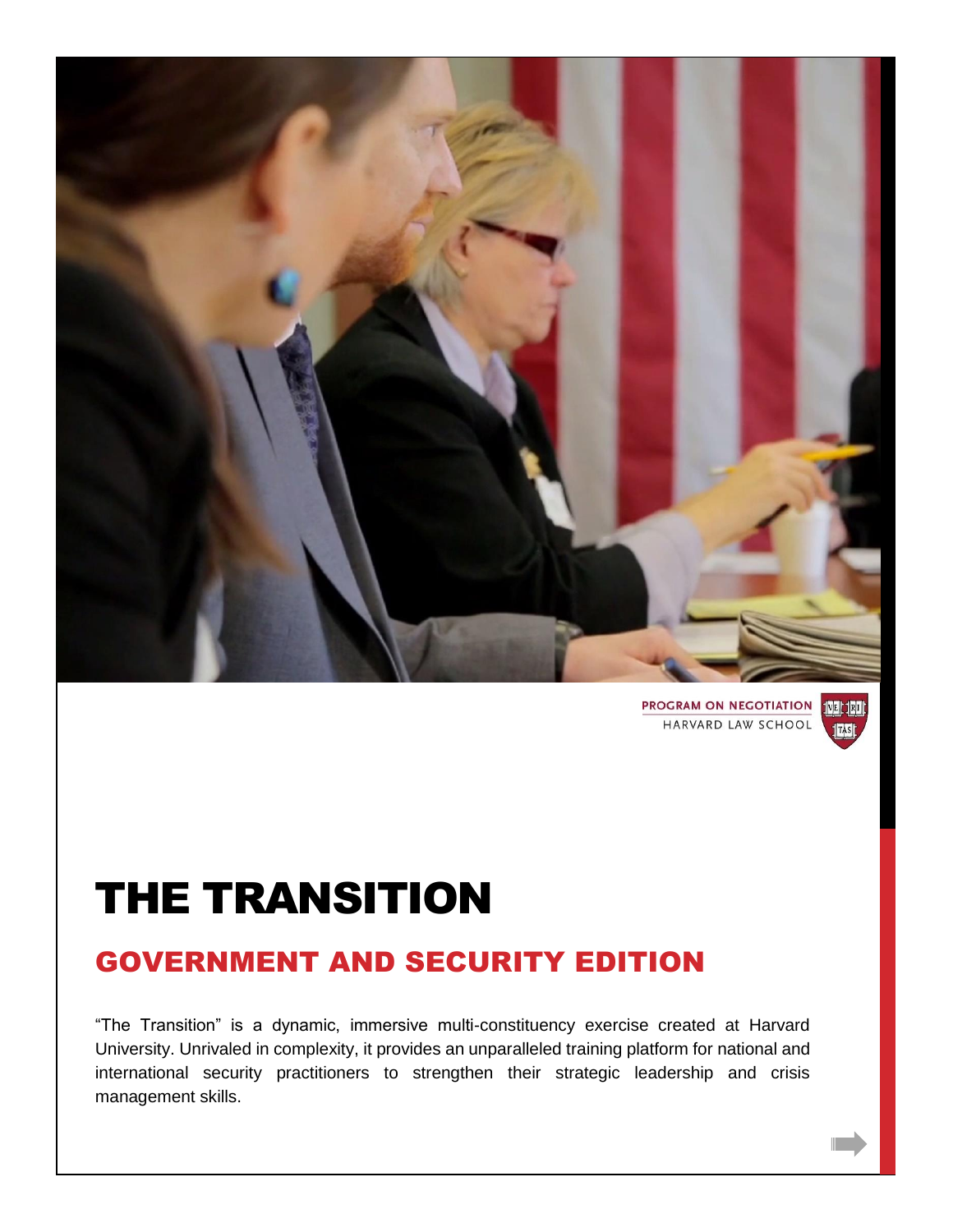

**PROGRAM ON NEGOTIATION 100 100** HARVARD LAW SCHOOL



# THE TRANSITION

# GOVERNMENT AND SECURITY EDITION

"The Transition" is a dynamic, immersive multi-constituency exercise created at Harvard University. Unrivaled in complexity, it provides an unparalleled training platform for national and international security practitioners to strengthen their strategic leadership and crisis management skills.